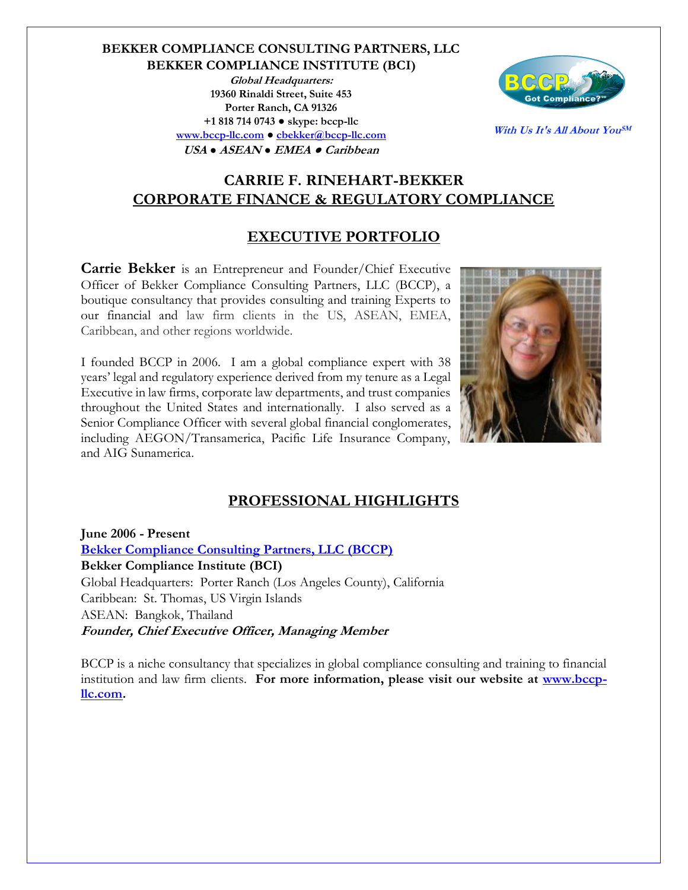**BEKKER COMPLIANCE CONSULTING PARTNERS, LLC BEKKER COMPLIANCE INSTITUTE (BCI) Global Headquarters: 19360 Rinaldi Street, Suite 453 Porter Ranch, CA 91326**

> **+1 818 714 0743 ● skype: bccp-llc [www.bccp-llc.com](http://www.bccp-llc.com/) ● [cbekker@bccp-llc.com](mailto:cbekker@bccp-llc.com) USA ● ASEAN ● EMEA ● Caribbean**



**With Us It's All About YouSM**

# **CARRIE F. RINEHART-BEKKER CORPORATE FINANCE & REGULATORY COMPLIANCE**

# **EXECUTIVE PORTFOLIO**

**Carrie Bekker** is an Entrepreneur and Founder/Chief Executive Officer of Bekker Compliance Consulting Partners, LLC (BCCP), a boutique consultancy that provides consulting and training Experts to our financial and law firm clients in the US, ASEAN, EMEA, Caribbean, and other regions worldwide.

I founded BCCP in 2006. I am a global compliance expert with 38 years' legal and regulatory experience derived from my tenure as a Legal Executive in law firms, corporate law departments, and trust companies throughout the United States and internationally. I also served as a Senior Compliance Officer with several global financial conglomerates, including AEGON/Transamerica, Pacific Life Insurance Company, and AIG Sunamerica.



# **PROFESSIONAL HIGHLIGHTS**

**June 2006 - Present [Bekker Compliance Consulting Partners, LLC \(BCCP\)](http://www.bccp-llc.com/) Bekker Compliance Institute (BCI)** Global Headquarters: Porter Ranch (Los Angeles County), California Caribbean: St. Thomas, US Virgin Islands ASEAN: Bangkok, Thailand **Founder, Chief Executive Officer, Managing Member**

BCCP is a niche consultancy that specializes in global compliance consulting and training to financial institution and law firm clients. For more information, please visit our website at **www.bccp[llc.com.](http://www.bccp-llc.com/)**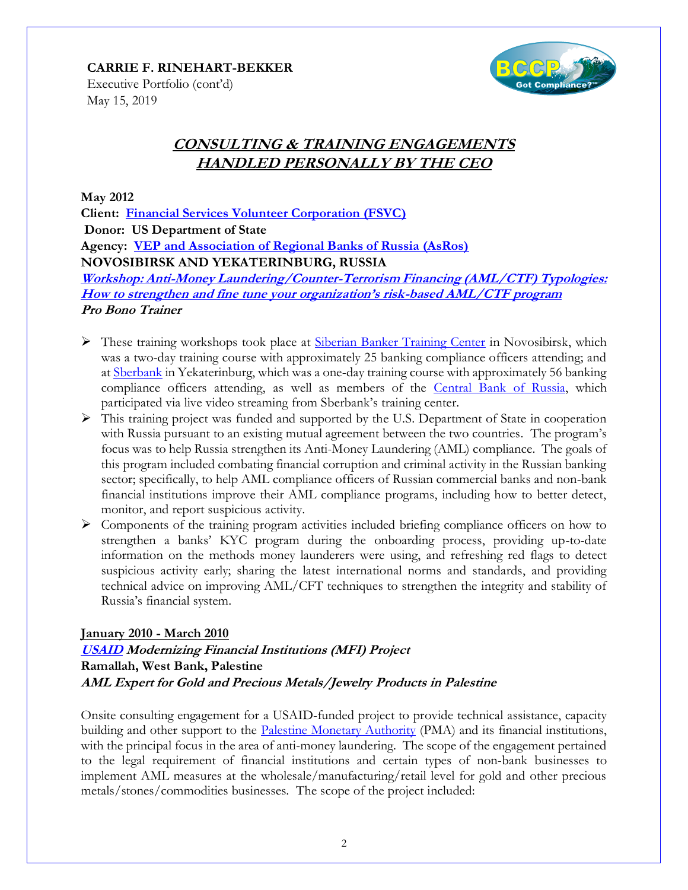

Executive Portfolio (cont'd) May 15, 2019

# **CONSULTING & TRAINING ENGAGEMENTS HANDLED PERSONALLY BY THE CEO**

**May 2012**

**Client: [Financial Services Volunteer Corporation \(FSVC\)](http://www.fsvc.org/) Donor: US Department of State Agency: [VEP and Association of Regional Banks of Russia \(AsRos\)](http://www.asros.ru/ru/english) NOVOSIBIRSK AND YEKATERINBURG, RUSSIA**

**[Workshop: Anti-Money Laundering/Counter-Terrorism Financing \(AML/CTF\) Typologies:](http://bccp-llc-blog.blogspot.com/2012_06_01_archive.html)  [How to strengthen and fine tune your organization's risk](http://bccp-llc-blog.blogspot.com/2012_06_01_archive.html)-based AML/CTF program Pro Bono Trainer**

- $\triangleright$  These training workshops took place at [Siberian Banker Training Center](http://sbtc.ru/en/pages/about) in Novosibirsk, which was a two-day training course with approximately 25 banking compliance officers attending; and at [Sberbank](http://www.sberbank.ru/en/individualclients) in Yekaterinburg, which was a one-day training course with approximately 56 banking compliance officers attending, as well as members of the [Central Bank of Russia,](http://www.cbr.ru/eng/) which participated via live video streaming from Sberbank's training center.
- $\triangleright$  This training project was funded and supported by the U.S. Department of State in cooperation with Russia pursuant to an existing mutual agreement between the two countries. The program's focus was to help Russia strengthen its Anti-Money Laundering (AML) compliance. The goals of this program included combating financial corruption and criminal activity in the Russian banking sector; specifically, to help AML compliance officers of Russian commercial banks and non-bank financial institutions improve their AML compliance programs, including how to better detect, monitor, and report suspicious activity.
- ➢ Components of the training program activities included briefing compliance officers on how to strengthen a banks' KYC program during the onboarding process, providing up-to-date information on the methods money launderers were using, and refreshing red flags to detect suspicious activity early; sharing the latest international norms and standards, and providing technical advice on improving AML/CFT techniques to strengthen the integrity and stability of Russia's financial system.

# **January 2010 - March 2010**

**[USAID](https://www.usaid.gov/) Modernizing Financial Institutions (MFI) Project Ramallah, West Bank, Palestine AML Expert for Gold and Precious Metals/Jewelry Products in Palestine** 

Onsite consulting engagement for a USAID-funded project to provide technical assistance, capacity building and other support to the Palestine [Monetary Authority](http://www.pma.ps/) (PMA) and its financial institutions, with the principal focus in the area of anti-money laundering. The scope of the engagement pertained to the legal requirement of financial institutions and certain types of non-bank businesses to implement AML measures at the wholesale/manufacturing/retail level for gold and other precious metals/stones/commodities businesses. The scope of the project included: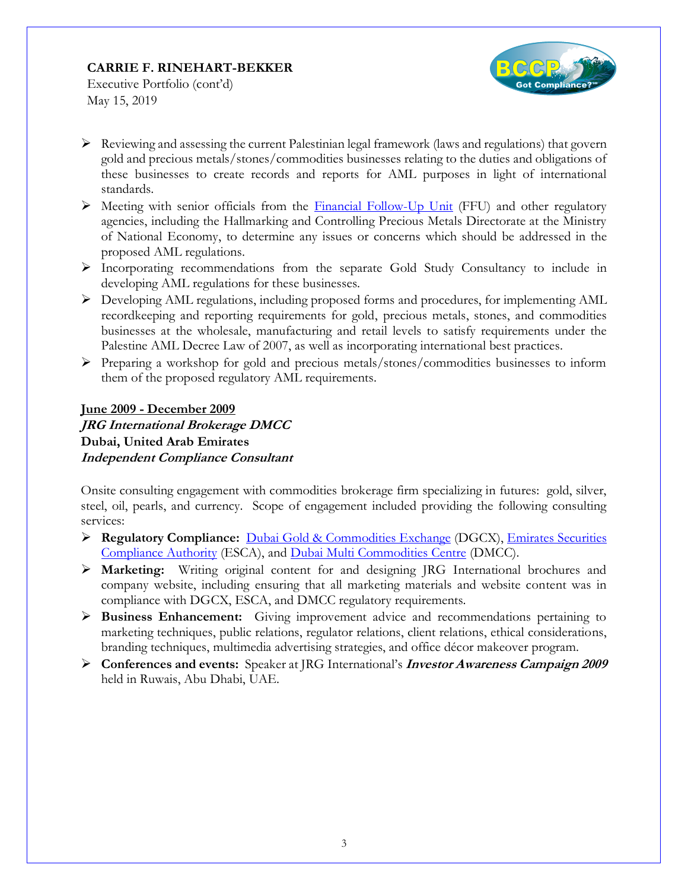

Executive Portfolio (cont'd) May 15, 2019

- $\triangleright$  Reviewing and assessing the current Palestinian legal framework (laws and regulations) that govern gold and precious metals/stones/commodities businesses relating to the duties and obligations of these businesses to create records and reports for AML purposes in light of international standards.
- $\triangleright$  Meeting with senior officials from the [Financial Follow-Up Unit](http://www.ffu.ps/page.php?id=3b70y15216Y3b70) (FFU) and other regulatory agencies, including the Hallmarking and Controlling Precious Metals Directorate at the Ministry of National Economy, to determine any issues or concerns which should be addressed in the proposed AML regulations.
- ➢ Incorporating recommendations from the separate Gold Study Consultancy to include in developing AML regulations for these businesses.
- ➢ Developing AML regulations, including proposed forms and procedures, for implementing AML recordkeeping and reporting requirements for gold, precious metals, stones, and commodities businesses at the wholesale, manufacturing and retail levels to satisfy requirements under the Palestine AML Decree Law of 2007, as well as incorporating international best practices.
- ➢ Preparing a workshop for gold and precious metals/stones/commodities businesses to inform them of the proposed regulatory AML requirements.

# **June 2009 - December 2009 JRG International Brokerage DMCC Dubai, United Arab Emirates Independent Compliance Consultant**

Onsite consulting engagement with commodities brokerage firm specializing in futures: gold, silver, steel, oil, pearls, and currency. Scope of engagement included providing the following consulting services:

- ➢ **Regulatory Compliance:** [Dubai Gold & Commodities Exchange](http://www.thedgcx.com/) (DGCX), [Emirates Securities](http://www.sca.gov.ae/ENGLISH/Pages/default.aspx)  [Compliance Authority](http://www.sca.gov.ae/ENGLISH/Pages/default.aspx) (ESCA), and [Dubai Multi Commodities Centre](http://www.dmcc.ae/) (DMCC).
- ➢ **Marketing:** Writing original content for and designing JRG International brochures and company website, including ensuring that all marketing materials and website content was in compliance with DGCX, ESCA, and DMCC regulatory requirements.
- ➢ **Business Enhancement:** Giving improvement advice and recommendations pertaining to marketing techniques, public relations, regulator relations, client relations, ethical considerations, branding techniques, multimedia advertising strategies, and office décor makeover program.
- ➢ **Conferences and events:** Speaker at JRG International's **Investor Awareness Campaign 2009** held in Ruwais, Abu Dhabi, UAE.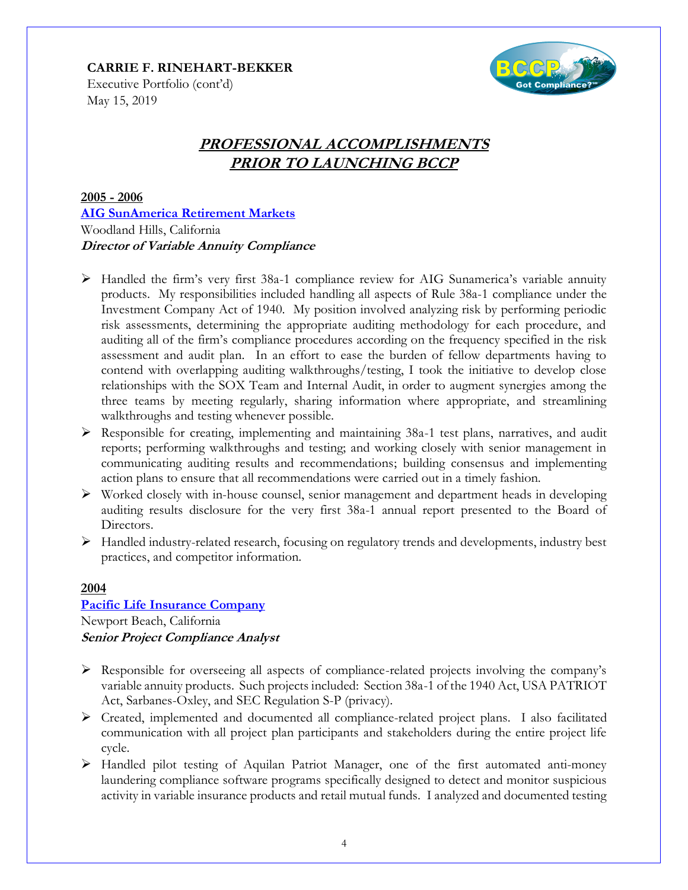

Executive Portfolio (cont'd) May 15, 2019

# **PROFESSIONAL ACCOMPLISHMENTS PRIOR TO LAUNCHING BCCP**

**2005 - 2006 [AIG SunAmerica Retirement Markets](https://www.sunamerica.com/)** Woodland Hills, California **Director of Variable Annuity Compliance**

- ➢ Handled the firm's very first 38a-1 compliance review for AIG Sunamerica's variable annuity products. My responsibilities included handling all aspects of Rule 38a-1 compliance under the Investment Company Act of 1940. My position involved analyzing risk by performing periodic risk assessments, determining the appropriate auditing methodology for each procedure, and auditing all of the firm's compliance procedures according on the frequency specified in the risk assessment and audit plan. In an effort to ease the burden of fellow departments having to contend with overlapping auditing walkthroughs/testing, I took the initiative to develop close relationships with the SOX Team and Internal Audit, in order to augment synergies among the three teams by meeting regularly, sharing information where appropriate, and streamlining walkthroughs and testing whenever possible.
- ➢ Responsible for creating, implementing and maintaining 38a-1 test plans, narratives, and audit reports; performing walkthroughs and testing; and working closely with senior management in communicating auditing results and recommendations; building consensus and implementing action plans to ensure that all recommendations were carried out in a timely fashion.
- $\triangleright$  Worked closely with in-house counsel, senior management and department heads in developing auditing results disclosure for the very first 38a-1 annual report presented to the Board of Directors.
- ➢ Handled industry-related research, focusing on regulatory trends and developments, industry best practices, and competitor information.

### **2004**

# **[Pacific Life Insurance Company](http://www.pacificlife.com/)** Newport Beach, California **Senior Project Compliance Analyst**

- $\triangleright$  Responsible for overseeing all aspects of compliance-related projects involving the company's variable annuity products. Such projects included: Section 38a-1 of the 1940 Act, USA PATRIOT Act, Sarbanes-Oxley, and SEC Regulation S-P (privacy).
- ➢ Created, implemented and documented all compliance-related project plans. I also facilitated communication with all project plan participants and stakeholders during the entire project life cycle.
- ➢ Handled pilot testing of Aquilan Patriot Manager, one of the first automated anti-money laundering compliance software programs specifically designed to detect and monitor suspicious activity in variable insurance products and retail mutual funds. I analyzed and documented testing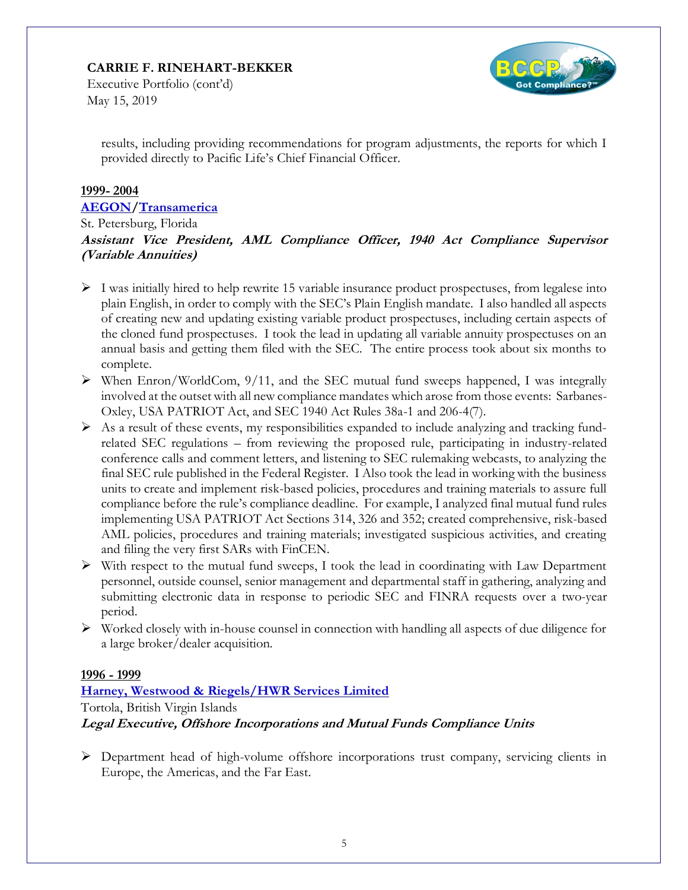

Executive Portfolio (cont'd) May 15, 2019

results, including providing recommendations for program adjustments, the reports for which I provided directly to Pacific Life's Chief Financial Officer.

### **1999- 2004**

#### **[AEGON](http://www.aegon.com/)[/Transamerica](http://www.transamerica.com/)**

St. Petersburg, Florida

**Assistant Vice President, AML Compliance Officer, 1940 Act Compliance Supervisor (Variable Annuities)**

- $\triangleright$  I was initially hired to help rewrite 15 variable insurance product prospectuses, from legalese into plain English, in order to comply with the SEC's Plain English mandate. I also handled all aspects of creating new and updating existing variable product prospectuses, including certain aspects of the cloned fund prospectuses. I took the lead in updating all variable annuity prospectuses on an annual basis and getting them filed with the SEC. The entire process took about six months to complete.
- $\triangleright$  When Enron/WorldCom, 9/11, and the SEC mutual fund sweeps happened, I was integrally involved at the outset with all new compliance mandates which arose from those events: Sarbanes-Oxley, USA PATRIOT Act, and SEC 1940 Act Rules 38a-1 and 206-4(7).
- $\triangleright$  As a result of these events, my responsibilities expanded to include analyzing and tracking fundrelated SEC regulations – from reviewing the proposed rule, participating in industry-related conference calls and comment letters, and listening to SEC rulemaking webcasts, to analyzing the final SEC rule published in the Federal Register. I Also took the lead in working with the business units to create and implement risk-based policies, procedures and training materials to assure full compliance before the rule's compliance deadline. For example, I analyzed final mutual fund rules implementing USA PATRIOT Act Sections 314, 326 and 352; created comprehensive, risk-based AML policies, procedures and training materials; investigated suspicious activities, and creating and filing the very first SARs with FinCEN.
- $\triangleright$  With respect to the mutual fund sweeps, I took the lead in coordinating with Law Department personnel, outside counsel, senior management and departmental staff in gathering, analyzing and submitting electronic data in response to periodic SEC and FINRA requests over a two-year period.
- ➢ Worked closely with in-house counsel in connection with handling all aspects of due diligence for a large broker/dealer acquisition.

### **1996 - 1999**

# **[Harney, Westwood & Riegels/HWR Services Limited](http://www.harneys.com/)**

Tortola, British Virgin Islands

### **Legal Executive, Offshore Incorporations and Mutual Funds Compliance Units**

➢ Department head of high-volume offshore incorporations trust company, servicing clients in Europe, the Americas, and the Far East.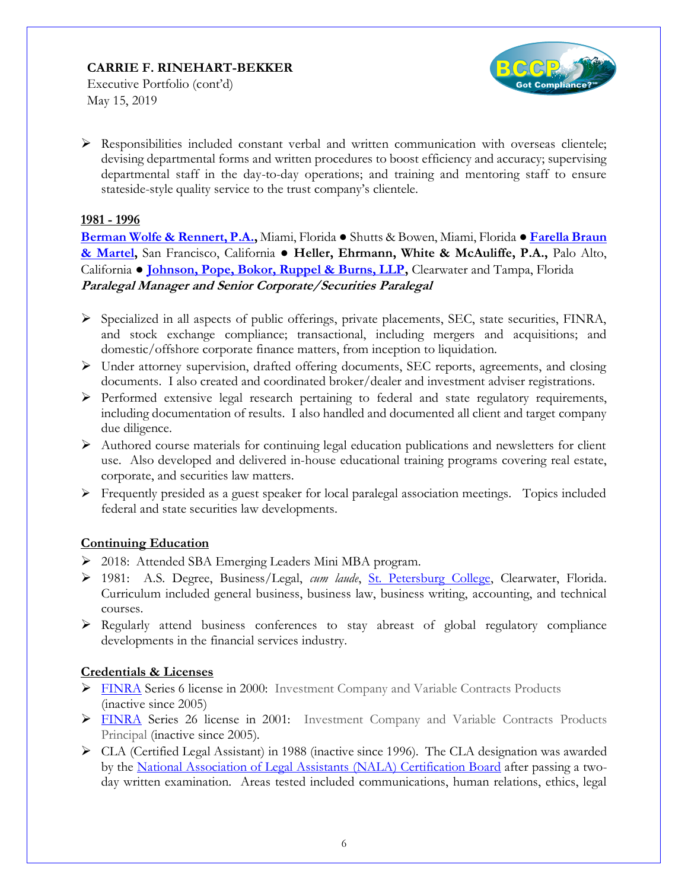

Executive Portfolio (cont'd) May 15, 2019

 $\triangleright$  Responsibilities included constant verbal and written communication with overseas clientele; devising departmental forms and written procedures to boost efficiency and accuracy; supervising departmental staff in the day-to-day operations; and training and mentoring staff to ensure stateside-style quality service to the trust company's clientele.

### **1981 - 1996**

**[Berman Wolfe & Rennert, P.A.,](http://www.brvmlaw.com/)** Miami, Florida ● Shutts & Bowen, Miami, Florida ● **[Farella Braun](http://www.fbm.com/)  [& Martel,](http://www.fbm.com/)** San Francisco, California ● **Heller, Ehrmann, White & McAuliffe, P.A.,** Palo Alto, California ● **[Johnson, Pope, Bokor, Ruppel & Burns, LLP,](http://www.jpfirm.com/)** Clearwater and Tampa, Florida **Paralegal Manager and Senior Corporate/Securities Paralegal**

- ➢ Specialized in all aspects of public offerings, private placements, SEC, state securities, FINRA, and stock exchange compliance; transactional, including mergers and acquisitions; and domestic/offshore corporate finance matters, from inception to liquidation.
- $\triangleright$  Under attorney supervision, drafted offering documents, SEC reports, agreements, and closing documents. I also created and coordinated broker/dealer and investment adviser registrations.
- ➢ Performed extensive legal research pertaining to federal and state regulatory requirements, including documentation of results. I also handled and documented all client and target company due diligence.
- ➢ Authored course materials for continuing legal education publications and newsletters for client use. Also developed and delivered in-house educational training programs covering real estate, corporate, and securities law matters.
- ➢ Frequently presided as a guest speaker for local paralegal association meetings. Topics included federal and state securities law developments.

### **Continuing Education**

- ➢ 2018: Attended SBA Emerging Leaders Mini MBA program.
- ➢ 1981: A.S. Degree, Business/Legal, *cum laude*, [St. Petersburg College,](http://www.spcollege.edu/) Clearwater, Florida. Curriculum included general business, business law, business writing, accounting, and technical courses.
- $\triangleright$  Regularly attend business conferences to stay abreast of global regulatory compliance developments in the financial services industry.

### **Credentials & Licenses**

- ➢ [FINRA](http://www.finra.org/) Series 6 license in 2000: Investment Company and Variable Contracts Products (inactive since 2005)
- ➢ [FINRA](http://www.finra.org/) Series 26 license in 2001: Investment Company and Variable Contracts Products Principal (inactive since 2005).
- ➢ CLA (Certified Legal Assistant) in 1988 (inactive since 1996). The CLA designation was awarded by the [National Association of Legal Assistants \(NALA\) Certification Board](https://www.nala.org/certification) after passing a twoday written examination. Areas tested included communications, human relations, ethics, legal